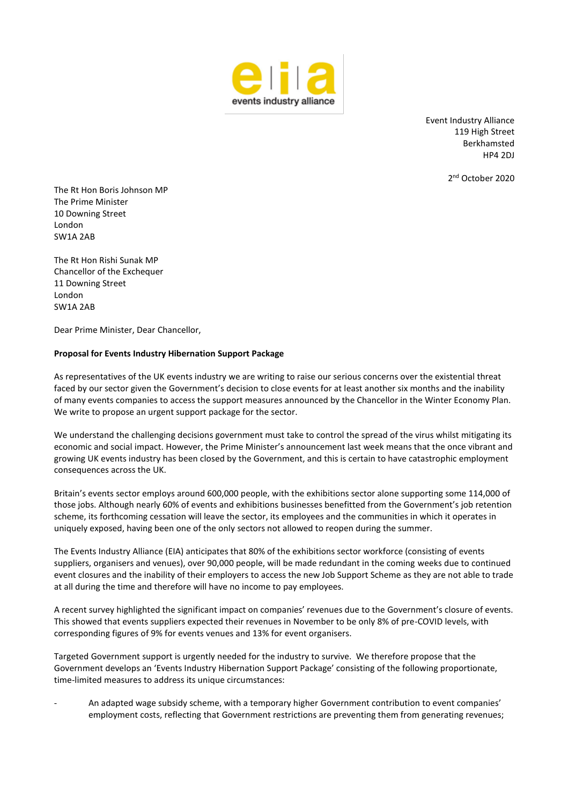

Event Industry Alliance 119 High Street Berkhamsted HP4 2DJ

2 nd October 2020

The Rt Hon Boris Johnson MP The Prime Minister 10 Downing Street London SW1A 2AB

The Rt Hon Rishi Sunak MP Chancellor of the Exchequer 11 Downing Street London SW1A 2AB

Dear Prime Minister, Dear Chancellor,

## **Proposal for Events Industry Hibernation Support Package**

As representatives of the UK events industry we are writing to raise our serious concerns over the existential threat faced by our sector given the Government's decision to close events for at least another six months and the inability of many events companies to access the support measures announced by the Chancellor in the Winter Economy Plan. We write to propose an urgent support package for the sector.

We understand the challenging decisions government must take to control the spread of the virus whilst mitigating its economic and social impact. However, the Prime Minister's announcement last week means that the once vibrant and growing UK events industry has been closed by the Government, and this is certain to have catastrophic employment consequences across the UK.

Britain's events sector employs around 600,000 people, with the exhibitions sector alone supporting some 114,000 of those jobs. Although nearly 60% of events and exhibitions businesses benefitted from the Government's job retention scheme, its forthcoming cessation will leave the sector, its employees and the communities in which it operates in uniquely exposed, having been one of the only sectors not allowed to reopen during the summer.

The Events Industry Alliance (EIA) anticipates that 80% of the exhibitions sector workforce (consisting of events suppliers, organisers and venues), over 90,000 people, will be made redundant in the coming weeks due to continued event closures and the inability of their employers to access the new Job Support Scheme as they are not able to trade at all during the time and therefore will have no income to pay employees.

A recent survey highlighted the significant impact on companies' revenues due to the Government's closure of events. This showed that events suppliers expected their revenues in November to be only 8% of pre-COVID levels, with corresponding figures of 9% for events venues and 13% for event organisers.

Targeted Government support is urgently needed for the industry to survive. We therefore propose that the Government develops an 'Events Industry Hibernation Support Package' consisting of the following proportionate, time-limited measures to address its unique circumstances:

- An adapted wage subsidy scheme, with a temporary higher Government contribution to event companies' employment costs, reflecting that Government restrictions are preventing them from generating revenues;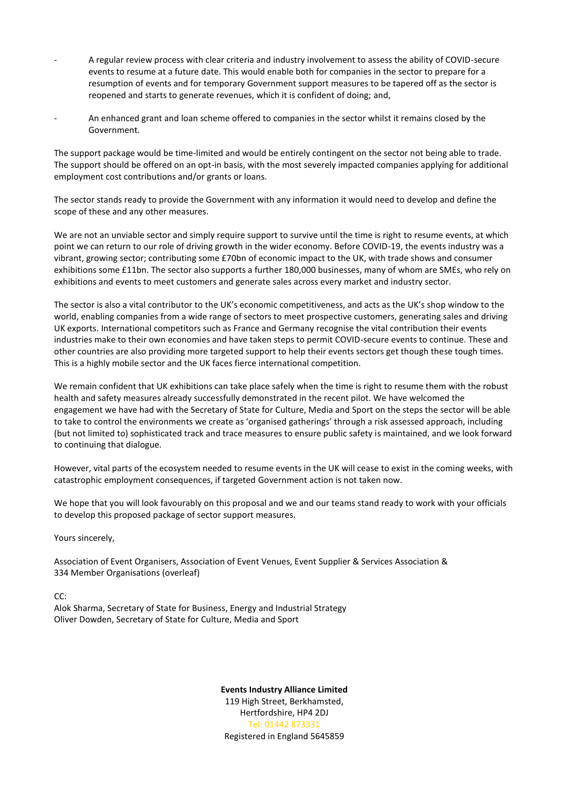- A regular review process with clear criteria and industry involvement to assess the ability of COVID-secure events to resume at a future date. This would enable both for companies in the sector to prepare for a resumption of events and for temporary Government support measures to be tapered off as the sector is reopened and starts to generate revenues, which it is confident of doing; and,
- An enhanced grant and loan scheme offered to companies in the sector whilst it remains closed by the Government.

The support package would be time-limited and would be entirely contingent on the sector not being able to trade. The support should be offered on an opt-in basis, with the most severely impacted companies applying for additional employment cost contributions and/or grants or loans.

The sector stands ready to provide the Government with any information it would need to develop and define the scope of these and any other measures.

We are not an unviable sector and simply require support to survive until the time is right to resume events, at which point we can return to our role of driving growth in the wider economy. Before COVID-19, the events industry was a vibrant, growing sector; contributing some £70bn of economic impact to the UK, with trade shows and consumer exhibitions some £11bn. The sector also supports a further 180,000 businesses, many of whom are SMEs, who rely on exhibitions and events to meet customers and generate sales across every market and industry sector.

The sector is also a vital contributor to the UK's economic competitiveness, and acts as the UK's shop window to the world, enabling companies from a wide range of sectors to meet prospective customers, generating sales and driving UK exports. International competitors such as France and Germany recognise the vital contribution their events industries make to their own economies and have taken steps to permit COVID-secure events to continue. These and other countries are also providing more targeted support to help their events sectors get though these tough times. This is a highly mobile sector and the UK faces fierce international competition.

We remain confident that UK exhibitions can take place safely when the time is right to resume them with the robust health and safety measures already successfully demonstrated in the recent pilot. We have welcomed the engagement we have had with the Secretary of State for Culture, Media and Sport on the steps the sector will be able to take to control the environments we create as 'organised gatherings' through a risk assessed approach, including (but not limited to) sophisticated track and trace measures to ensure public safety is maintained, and we look forward to continuing that dialogue.

However, vital parts of the ecosystem needed to resume events in the UK will cease to exist in the coming weeks, with catastrophic employment consequences, if targeted Government action is not taken now.

We hope that you will look favourably on this proposal and we and our teams stand ready to work with your officials to develop this proposed package of sector support measures.

Yours sincerely,

Association of Event Organisers, Association of Event Venues, Event Supplier & Services Association & 334 Member Organisations (overleaf)

CC:

Alok Sharma, Secretary of State for Business, Energy and Industrial Strategy Oliver Dowden, Secretary of State for Culture, Media and Sport

> **Events Industry Alliance Limited** 119 High Street, Berkhamsted, Hertfordshire, HP4 2DJ Tel: 01442 873331 Registered in England 5645859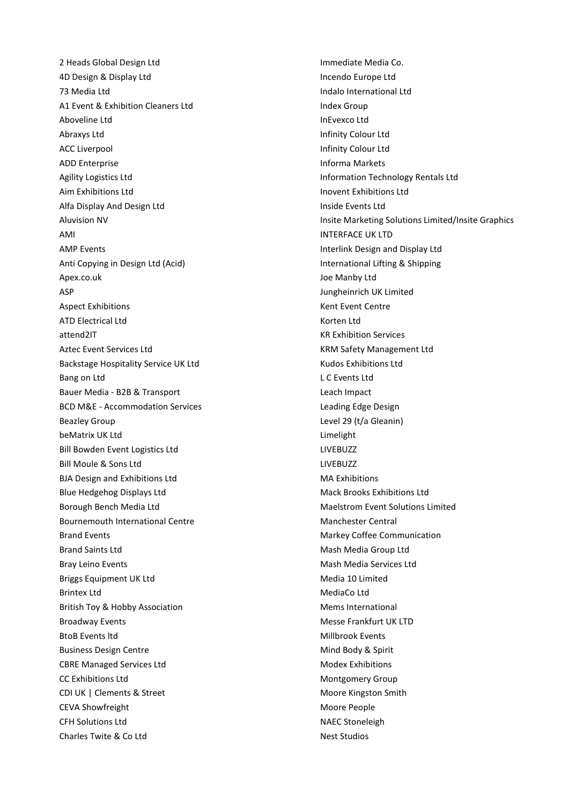2 Heads Global Design Ltd **Immediate Media Co.** 4D Design & Display Ltd Incendo Europe Ltd 73 Media Ltd Indalo International Ltd A1 Event & Exhibition Cleaners Ltd Index Group Aboveline Ltd **InEvexco** Ltd Abraxys Ltd **Infinity Colour Ltd** ACC Liverpool and the contract of the contract of the limit of the limit of the limit of the limit of the limit of the limit of the limit of the limit of the limit of the limit of the limit of the limit of the limit of the ADD Enterprise **Informa Markets** Informa Markets Agility Logistics Ltd Information Technology Rentals Ltd Aim Exhibitions Ltd Inovent Exhibitions Ltd Alfa Display And Design Ltd Inside Events Ltd AMI INTERFACE UK LTD AMP Events **Interlink Design and Display Ltd** Anti Copying in Design Ltd (Acid) **International Lifting & Shipping** International Lifting & Shipping Apex.co.uk and the manufacture of the Manufacture of the Manufacture of the Manufacture of the Manufacture of the Manufacture of the Manufacture of the Manufacture of the Manufacture of the Manufacture of the Manufacture o ASP Jungheinrich UK Limited Aspect Exhibitions **Kent Event Centre** ATD Electrical Ltd **Korten Ltd** Korten Ltd attend2IT and the state of the state of the state of the state of the state of the state of the state of the state of the state of the state of the state of the state of the state of the state of the state of the state of Aztec Event Services Ltd **KRM Safety Management Ltd** KRM Safety Management Ltd Backstage Hospitality Service UK Ltd Kudos Exhibitions Ltd Bang on Ltd **L** C Events Ltd **L** C Events Ltd **L** Bauer Media - B2B & Transport Leach Impact BCD M&E - Accommodation Services Leading Edge Design Beazley Group **Level 29 (t/a Gleanin)** beMatrix UK Ltd Limelight Bill Bowden Event Logistics Ltd LIVEBUZZ Bill Moule & Sons Ltd **LIVEBUZZ** BJA Design and Exhibitions Ltd MA Exhibitions Blue Hedgehog Displays Ltd Mack Brooks Exhibitions Ltd Mack Brooks Exhibitions Ltd Borough Bench Media Ltd Mac Mateur Maelstrom Event Solutions Limited Bournemouth International Centre Manchester Central Brand Events **Markey Coffee Communication** Brand Saints Ltd **Mash Media Group Ltd** Mash Media Group Ltd Bray Leino Events **Mash Media Services** Ltd Briggs Equipment UK Ltd Media 10 Limited Brintex Ltd MediaCo Ltd British Toy & Hobby Association Mems International Broadway Events **Messe Frankfurt UK LTD** BtoB Events ltd Millbrook Events Business Design Centre **Mind Body & Spirit** Mind Body & Spirit CBRE Managed Services Ltd **Modex Exhibitions** CBRE Managed Services Ltd CC Exhibitions Ltd **Montgomery Group** Montgomery Group CDI UK | Clements & Street Moore Kingston Smith CEVA Showfreight **Moore People** CFH Solutions Ltd NAEC Stoneleigh Charles Twite & Co Ltd Nest Studios

Aluvision NV **Insite Marketing Solutions Limited/Insite Graphics** Insite Marketing Solutions Limited/Insite Graphics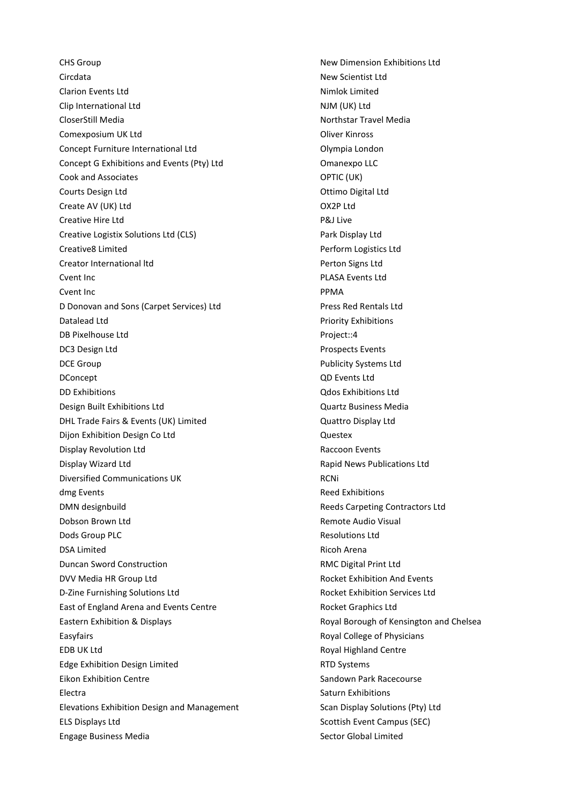CHS Group New Dimension Exhibitions Ltd Circdata New Scientist Ltd Clarion Events Ltd **Nimited** Nimlok Limited Clip International Ltd NJM (UK) Ltd CloserStill Media Northstar Travel Media Comexposium UK Ltd **Comexisted** Oliver Kinross Concept Furniture International Ltd Olympia London Concept G Exhibitions and Events (Pty) Ltd Concept G Exhibitions and Events (Pty) Ltd Concept Concept Control Cook and Associates **OPTIC** (UK) Courts Design Ltd **Courts Design Ltd Courts** Design Ltd **Courts** Design Ltd **Courts** Design Ltd **Courts** Design Ltd **Courts** Design Ltd **Courts** Design Ltd **Courts** Design Ltd **Courts** Design Ltd **Courts** Design Ltd **Cou** Create AV (UK) Ltd OX2P Ltd Creative Hire Ltd **P&J** Live Creative Logistix Solutions Ltd (CLS) example 20 and Display Ltd **Creative8 Limited Creative8 Limited Creative8 Limited Creative8 Limited Creative8 Limited Creative Perform Logistics Ltd** Creator International Itd **Perton Signs Ltd** Perton Signs Ltd Cvent Inc PLASA Events Ltd Cvent Inc **PPMA** D Donovan and Sons (Carpet Services) Ltd Press Red Rentals Ltd **Datalead Ltd** Priority Exhibitions DB Pixelhouse Ltd **Project::4 DC3 Design Ltd** Prospects Events DCE Group **Publicity Systems Ltd** DConcept QD Events Ltd DD Exhibitions Qdos Exhibitions Ltd Design Built Exhibitions Ltd Quartz Business Media DHL Trade Fairs & Events (UK) Limited Controller Controller Cuattro Display Ltd **Dijon Exhibition Design Co Ltd Contract Contract Contract Contract Contract Contract Contract Contract Contract Contract Contract Contract Contract Contract Contract Contract Contract Contract Contract Contract Contract** Display Revolution Ltd **Raccoon Events** Display Wizard Ltd Rapid News Publications Ltd Diversified Communications UK **RCNI** dmg Events **Reed Exhibitions** DMN designbuild Reeds Carpeting Contractors Ltd Dobson Brown Ltd **Remote Audio Visual Dods Group PLC CONSERVING PLC CONSERVING PLC Resolutions Ltd** DSA Limited **Ricoh Arena Duncan Sword Construction RMC Digital Print Ltd** DVV Media HR Group Ltd **Rocket Exhibition And Events** D-Zine Furnishing Solutions Ltd Rocket Exhibition Services Ltd East of England Arena and Events Centre **Rocket Graphics Ltd** Eastern Exhibition & Displays Royal Borough of Kensington and Chelsea Easyfairs Royal College of Physicians EDB UK Ltd **Royal Highland Centre** Edge Exhibition Design Limited RTD Systems Eikon Exhibition Centre Sandown Park Racecourse Electra **Saturn Exhibitions** Elevations Exhibition Design and Management Scan Display Solutions (Pty) Ltd ELS Displays Ltd Scottish Event Campus (SEC) Engage Business Media Sector Global Limited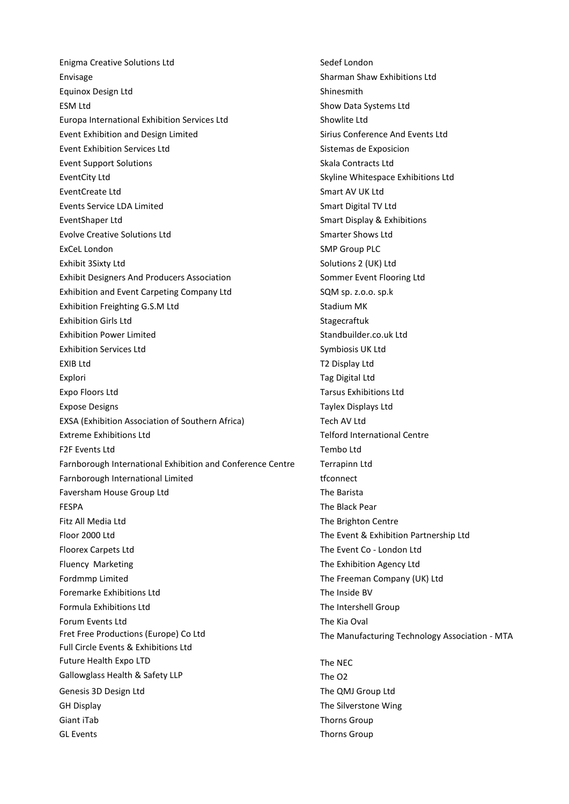Enigma Creative Solutions Ltd Sedef London Envisage Sharman Shaw Exhibitions Ltd Equinox Design Ltd Shinesmith ESM Ltd Systems Ltd Show Data Systems Ltd Europa International Exhibition Services Ltd Showlite Ltd Event Exhibition and Design Limited Sirius Conference And Events Ltd Event Exhibition Services Ltd Sistemas de Exposicion Event Support Solutions Skala Contracts Ltd EventCity Ltd Skyline Whitespace Exhibitions Ltd EventCreate Ltd **Smart AV UK Ltd** Smart AV UK Ltd Events Service LDA Limited Smart Digital TV Ltd EventShaper Ltd Smart Display & Exhibitions Evolve Creative Solutions Ltd Smarter Shows Ltd Smarter Shows Ltd Smarter Shows Ltd ExCeL London **SMP Group PLC** Exhibit 3Sixty Ltd Solutions 2 (UK) Ltd Solutions 2 (UK) Ltd Exhibit Designers And Producers Association Sommer Event Flooring Ltd Exhibition and Event Carpeting Company Ltd SQM sp. z.o.o. sp.k Exhibition Freighting G.S.M Ltd Stadium MK Exhibition Girls Ltd Stagecraftuk Exhibition Power Limited Standbuilder.co.uk Ltd Exhibition Services Ltd Symbiosis UK Ltd EXIB Ltd T2 Display Ltd Explori Tag Digital Ltd Expo Floors Ltd Tarsus Exhibitions Ltd Expose Designs Taylex Displays Ltd EXSA (Exhibition Association of Southern Africa) Tech AV Ltd Extreme Exhibitions Ltd Telford International Centre F2F Events Ltd Tembo Ltd Farnborough International Exhibition and Conference Centre Terrapinn Ltd Farnborough International Limited the state of the term of the term of the term of the term of the term of the term of the term of the term of the term of the term of the term of the term of the term of term of the term of Faversham House Group Ltd The Barista FESPA The Black Pear Fitz All Media Ltd The Brighton Centre Floor 2000 Ltd The Event & Exhibition Partnership Ltd Floorex Carpets Ltd The Event Co - London Ltd Fluency Marketing The Exhibition Agency Ltd Fordmmp Limited The Freeman Company (UK) Ltd Foremarke Exhibitions Ltd The Inside BV Formula Exhibitions Ltd The Intershell Group Forum Events Ltd **The Kia Oval** Fret Free Productions (Europe) Co Ltd The Manufacturing Technology Association - MTA Full Circle Events & Exhibitions Ltd Future Health Expo LTD The NEC Gallowglass Health & Safety LLP The O2 Genesis 3D Design Ltd The QMJ Group Ltd GH Display The Silverstone Wing Giant iTab Thorns Group and Thorns Group and Thorns Group and Thorns Group and Thorns Group GL Events Thorns Group